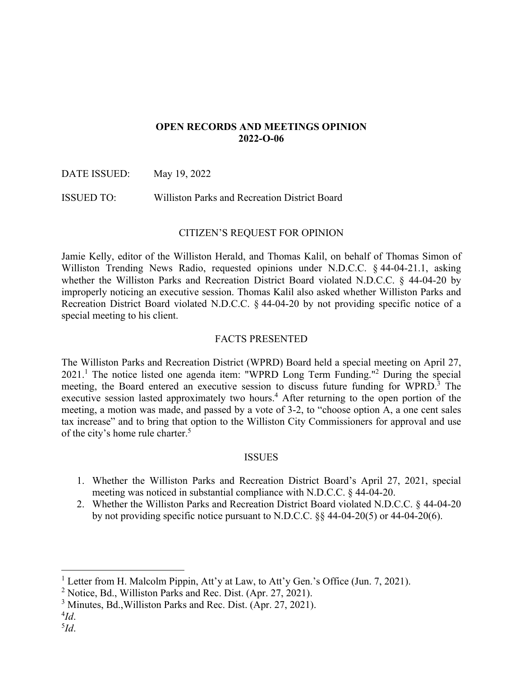# **OPEN RECORDS AND MEETINGS OPINION 2022-O-06**

DATE ISSUED: May 19, 2022

ISSUED TO: Williston Parks and Recreation District Board

# CITIZEN'S REQUEST FOR OPINION

Jamie Kelly, editor of the Williston Herald, and Thomas Kalil, on behalf of Thomas Simon of Williston Trending News Radio, requested opinions under N.D.C.C. § 44-04-21.1, asking whether the Williston Parks and Recreation District Board violated N.D.C.C. § 44-04-20 by improperly noticing an executive session. Thomas Kalil also asked whether Williston Parks and Recreation District Board violated N.D.C.C. § 44-04-20 by not providing specific notice of a special meeting to his client.

# FACTS PRESENTED

The Williston Parks and Recreation District (WPRD) Board held a special meeting on April 27,  $2021$ .<sup>1</sup> The notice listed one agenda item: "WPRD Long Term Funding."<sup>2</sup> During the special meeting, the Board entered an executive session to discuss future funding for WPRD.<sup>3</sup> The executive session lasted approximately two hours.<sup>4</sup> After returning to the open portion of the meeting, a motion was made, and passed by a vote of 3-2, to "choose option A, a one cent sales tax increase" and to bring that option to the Williston City Commissioners for approval and use of the city's home rule charter.<sup>5</sup>

# ISSUES

- 1. Whether the Williston Parks and Recreation District Board's April 27, 2021, special meeting was noticed in substantial compliance with N.D.C.C. § 44-04-20.
- 2. Whether the Williston Parks and Recreation District Board violated N.D.C.C. § 44-04-20 by not providing specific notice pursuant to N.D.C.C. §§ 44-04-20(5) or 44-04-20(6).

<sup>&</sup>lt;sup>1</sup> Letter from H. Malcolm Pippin, Att'y at Law, to Att'y Gen.'s Office (Jun. 7, 2021).

<sup>&</sup>lt;sup>2</sup> Notice, Bd., Williston Parks and Rec. Dist. (Apr. 27, 2021).

<sup>&</sup>lt;sup>3</sup> Minutes, Bd., Williston Parks and Rec. Dist. (Apr. 27, 2021).

<sup>4</sup> *Id*.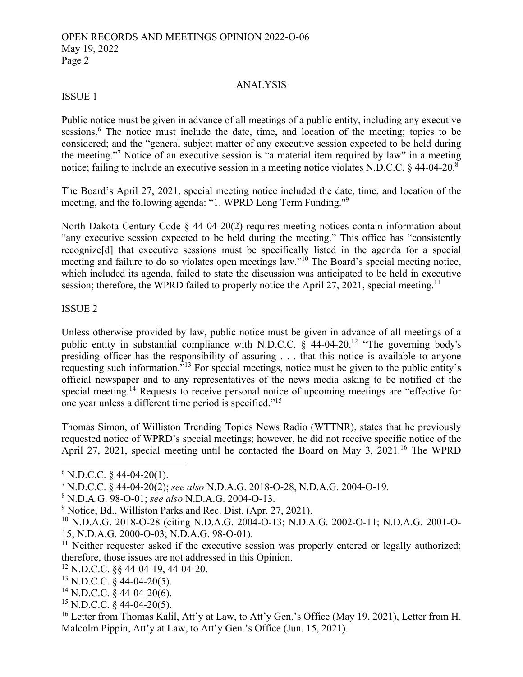### ANALYSIS

# ISSUE 1

Public notice must be given in advance of all meetings of a public entity, including any executive sessions.<sup>6</sup> The notice must include the date, time, and location of the meeting; topics to be considered; and the "general subject matter of any executive session expected to be held during the meeting."<sup>7</sup> Notice of an executive session is "a material item required by law" in a meeting notice; failing to include an executive session in a meeting notice violates N.D.C.C. § 44-04-20.<sup>8</sup>

The Board's April 27, 2021, special meeting notice included the date, time, and location of the meeting, and the following agenda: "1. WPRD Long Term Funding."<sup>9</sup>

North Dakota Century Code § 44-04-20(2) requires meeting notices contain information about "any executive session expected to be held during the meeting." This office has "consistently recognize[d] that executive sessions must be specifically listed in the agenda for a special meeting and failure to do so violates open meetings law."<sup>10</sup> The Board's special meeting notice, which included its agenda, failed to state the discussion was anticipated to be held in executive session; therefore, the WPRD failed to properly notice the April 27, 2021, special meeting.<sup>11</sup>

### ISSUE 2

Unless otherwise provided by law, public notice must be given in advance of all meetings of a public entity in substantial compliance with N.D.C.C.  $\zeta$  44-04-20.<sup>12</sup> "The governing body's presiding officer has the responsibility of assuring . . . that this notice is available to anyone requesting such information."13 For special meetings, notice must be given to the public entity's official newspaper and to any representatives of the news media asking to be notified of the special meeting.<sup>14</sup> Requests to receive personal notice of upcoming meetings are "effective for one year unless a different time period is specified."<sup>15</sup>

Thomas Simon, of Williston Trending Topics News Radio (WTTNR), states that he previously requested notice of WPRD's special meetings; however, he did not receive specific notice of the April 27, 2021, special meeting until he contacted the Board on May 3, 2021.<sup>16</sup> The WPRD

<sup>15</sup> N.D.C.C. § 44-04-20(5).

 $6$  N.D.C.C. § 44-04-20(1).

<sup>7</sup> N.D.C.C. § 44-04-20(2); *see also* N.D.A.G. 2018-O-28, N.D.A.G. 2004-O-19.

<sup>8</sup> N.D.A.G. 98-O-01; *see also* N.D.A.G. 2004-O-13.

<sup>&</sup>lt;sup>9</sup> Notice, Bd., Williston Parks and Rec. Dist. (Apr. 27, 2021).

<sup>10</sup> N.D.A.G. 2018-O-28 (citing N.D.A.G. 2004-O-13; N.D.A.G. 2002-O-11; N.D.A.G. 2001-O-15; N.D.A.G. 2000-O-03; N.D.A.G. 98-O-01).

 $11$  Neither requester asked if the executive session was properly entered or legally authorized; therefore, those issues are not addressed in this Opinion.

<sup>12</sup> N.D.C.C. §§ 44-04-19, 44-04-20.

 $13$  N.D.C.C. § 44-04-20(5).

 $^{14}$  N.D.C.C. § 44-04-20(6).

<sup>&</sup>lt;sup>16</sup> Letter from Thomas Kalil, Att'y at Law, to Att'y Gen.'s Office (May 19, 2021), Letter from H. Malcolm Pippin, Att'y at Law, to Att'y Gen.'s Office (Jun. 15, 2021).